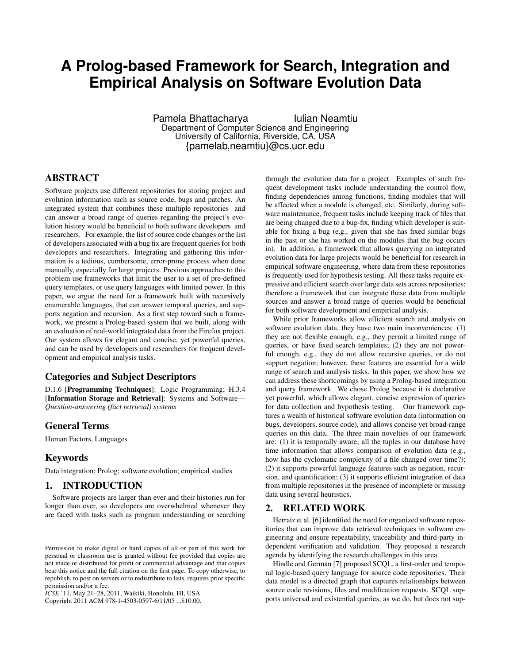# **A Prolog-based Framework for Search, Integration and Empirical Analysis on Software Evolution Data**

Pamela Bhattacharya **Iulian Neamtiu** Department of Computer Science and Engineering University of California, Riverside, CA, USA {pamelab,neamtiu}@cs.ucr.edu

# ABSTRACT

Software projects use different repositories for storing project and evolution information such as source code, bugs and patches. An integrated system that combines these multiple repositories and can answer a broad range of queries regarding the project's evolution history would be beneficial to both software developers and researchers. For example, the list of source code changes or the list of developers associated with a bug fix are frequent queries for both developers and researchers. Integrating and gathering this information is a tedious, cumbersome, error-prone process when done manually, especially for large projects. Previous approaches to this problem use frameworks that limit the user to a set of pre-defined query templates, or use query languages with limited power. In this paper, we argue the need for a framework built with recursively enumerable languages, that can answer temporal queries, and supports negation and recursion. As a first step toward such a framework, we present a Prolog-based system that we built, along with an evaluation of real-world integrated data from the Firefox project. Our system allows for elegant and concise, yet powerful queries, and can be used by developers and researchers for frequent development and empirical analysis tasks.

## Categories and Subject Descriptors

D.1.6 [Programming Techniques]: Logic Programming; H.3.4 [Information Storage and Retrieval]: Systems and Software— *Question-answering (fact retrieval) systems*

# General Terms

Human Factors, Languages

## Keywords

Data integration; Prolog; software evolution; empirical studies

## 1. INTRODUCTION

Software projects are larger than ever and their histories run for longer than ever, so developers are overwhelmed whenever they are faced with tasks such as program understanding or searching

*ICSE* '11, May 21–28, 2011, Waikiki, Honolulu, HI, USA

Copyright 2011 ACM 978-1-4503-0597-6/11/05 ...\$10.00.

through the evolution data for a project. Examples of such frequent development tasks include understanding the control flow, finding dependencies among functions, finding modules that will be affected when a module is changed, etc. Similarly, during software maintenance, frequent tasks include keeping track of files that are being changed due to a bug-fix, finding which developer is suitable for fixing a bug (e.g., given that she has fixed similar bugs in the past or she has worked on the modules that the bug occurs in). In addition, a framework that allows querying on integrated evolution data for large projects would be beneficial for research in empirical software engineering, where data from these repositories is frequently used for hypothesis testing. All these tasks require expressive and efficient search over large data sets across repositories; therefore a framework that can integrate these data from multiple sources and answer a broad range of queries would be beneficial for both software development and empirical analysis.

While prior frameworks allow efficient search and analysis on software evolution data, they have two main inconveniences: (1) they are not flexible enough, e.g., they permit a limited range of queries, or have fixed search templates; (2) they are not powerful enough, e.g., they do not allow recursive queries, or do not support negation; however, these features are essential for a wide range of search and analysis tasks. In this paper, we show how we can address these shortcomings by using a Prolog-based integration and query framework. We chose Prolog because it is declarative yet powerful, which allows elegant, concise expression of queries for data collection and hypothesis testing. Our framework captures a wealth of historical software evolution data (information on bugs, developers, source code), and allows concise yet broad-range queries on this data. The three main novelties of our framework are: (1) it is temporally aware; all the tuples in our database have time information that allows comparison of evolution data (e.g., how has the cyclomatic complexity of a file changed over time?); (2) it supports powerful language features such as negation, recursion, and quantification; (3) it supports efficient integration of data from multiple repositories in the presence of incomplete or missing data using several heuristics.

#### 2. RELATED WORK

Herraiz et al. [6] identified the need for organized software repositories that can improve data retrieval techniques in software engineering and ensure repeatability, traceability and third-party independent verification and validation. They proposed a research agenda by identifying the research challenges in this area.

Hindle and German [7] proposed SCQL, a first-order and temporal logic-based query language for source code repositories. Their data model is a directed graph that captures relationships between source code revisions, files and modification requests. SCQL supports universal and existential queries, as we do, but does not sup-

Permission to make digital or hard copies of all or part of this work for personal or classroom use is granted without fee provided that copies are not made or distributed for profit or commercial advantage and that copies bear this notice and the full citation on the first page. To copy otherwise, to republish, to post on servers or to redistribute to lists, requires prior specific permission and/or a fee.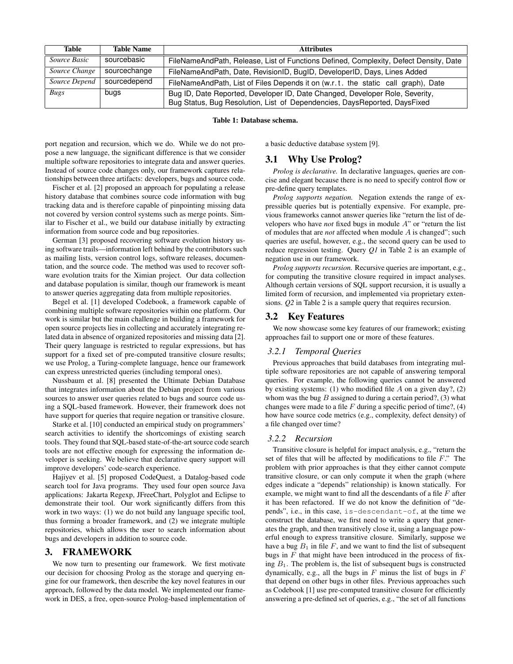| Table         | <b>Table Name</b> | <b>Attributes</b>                                                                                                                                         |  |
|---------------|-------------------|-----------------------------------------------------------------------------------------------------------------------------------------------------------|--|
| Source Basic  | sourcebasic       | FileNameAndPath, Release, List of Functions Defined, Complexity, Defect Density, Date                                                                     |  |
| Source Change | sourcechange      | FileNameAndPath, Date, RevisionID, BugID, DeveloperID, Days, Lines Added                                                                                  |  |
| Source Depend | sourcedepend      | FileNameAndPath, List of Files Depends it on (w.r.t. the static call graph), Date                                                                         |  |
| Bugs          | bugs              | Bug ID, Date Reported, Developer ID, Date Changed, Developer Role, Severity,<br>Bug Status, Bug Resolution, List of Dependencies, DaysReported, DaysFixed |  |

### Table 1: Database schema.

port negation and recursion, which we do. While we do not propose a new language, the significant difference is that we consider multiple software repositories to integrate data and answer queries. Instead of source code changes only, our framework captures relationships between three artifacts: developers, bugs and source code.

Fischer et al. [2] proposed an approach for populating a release history database that combines source code information with bug tracking data and is therefore capable of pinpointing missing data not covered by version control systems such as merge points. Similar to Fischer et al., we build our database initially by extracting information from source code and bug repositories.

German [3] proposed recovering software evolution history using software trails—information left behind by the contributors such as mailing lists, version control logs, software releases, documentation, and the source code. The method was used to recover software evolution traits for the Ximian project. Our data collection and database population is similar, though our framework is meant to answer queries aggregating data from multiple repositories.

Begel et al. [1] developed Codebook, a framework capable of combining multiple software repositories within one platform. Our work is similar but the main challenge in building a framework for open source projects lies in collecting and accurately integrating related data in absence of organized repositories and missing data [2]. Their query language is restricted to regular expressions, but has support for a fixed set of pre-computed transitive closure results; we use Prolog, a Turing-complete language, hence our framework can express unrestricted queries (including temporal ones).

Nussbaum et al. [8] presented the Ultimate Debian Database that integrates information about the Debian project from various sources to answer user queries related to bugs and source code using a SQL-based framework. However, their framework does not have support for queries that require negation or transitive closure.

Starke et al. [10] conducted an empirical study on programmers' search activities to identify the shortcomings of existing search tools. They found that SQL-based state-of-the-art source code search tools are not effective enough for expressing the information developer is seeking. We believe that declarative query support will improve developers' code-search experience.

Hajiyev et al. [5] proposed CodeQuest, a Datalog-based code search tool for Java programs. They used four open source Java applications: Jakarta Regexp, JFreeChart, Polyglot and Eclipse to demonstrate their tool. Our work significantly differs from this work in two ways: (1) we do not build any language specific tool, thus forming a broader framework, and (2) we integrate multiple repositories, which allows the user to search information about bugs and developers in addition to source code.

#### 3. FRAMEWORK

We now turn to presenting our framework. We first motivate our decision for choosing Prolog as the storage and querying engine for our framework, then describe the key novel features in our approach, followed by the data model. We implemented our framework in DES, a free, open-source Prolog-based implementation of a basic deductive database system [9].

### 3.1 Why Use Prolog?

*Prolog is declarative.* In declarative languages, queries are concise and elegant because there is no need to specify control flow or pre-define query templates.

*Prolog supports negation.* Negation extends the range of expressible queries but is potentially expensive. For example, previous frameworks cannot answer queries like "return the list of developers who have *not* fixed bugs in module A" or "return the list of modules that are *not* affected when module A is changed"; such queries are useful, however, e.g., the second query can be used to reduce regression testing. Query *Q1* in Table 2 is an example of negation use in our framework.

*Prolog supports recursion.* Recursive queries are important, e.g., for computing the transitive closure required in impact analyses. Although certain versions of SQL support recursion, it is usually a limited form of recursion, and implemented via proprietary extensions. *Q2* in Table 2 is a sample query that requires recursion.

## 3.2 Key Features

We now showcase some key features of our framework; existing approaches fail to support one or more of these features.

#### *3.2.1 Temporal Queries*

Previous approaches that build databases from integrating multiple software repositories are not capable of answering temporal queries. For example, the following queries cannot be answered by existing systems: (1) who modified file  $A$  on a given day?, (2) whom was the bug  $B$  assigned to during a certain period?, (3) what changes were made to a file  $F$  during a specific period of time?, (4) how have source code metrics (e.g., complexity, defect density) of a file changed over time?

#### *3.2.2 Recursion*

Transitive closure is helpful for impact analysis, e.g., "return the set of files that will be affected by modifications to file  $F$ ." The problem with prior approaches is that they either cannot compute transitive closure, or can only compute it when the graph (where edges indicate a "depends" relationship) is known statically. For example, we might want to find all the descendants of a file  $F$  after it has been refactored. If we do not know the definition of "depends", i.e., in this case, is-descendant-of, at the time we construct the database, we first need to write a query that generates the graph, and then transitively close it, using a language powerful enough to express transitive closure. Similarly, suppose we have a bug  $B_1$  in file F, and we want to find the list of subsequent bugs in  $F$  that might have been introduced in the process of fixing  $B_1$ . The problem is, the list of subsequent bugs is constructed dynamically, e.g., all the bugs in  $F$  minus the list of bugs in  $F$ that depend on other bugs in other files. Previous approaches such as Codebook [1] use pre-computed transitive closure for efficiently answering a pre-defined set of queries, e.g., "the set of all functions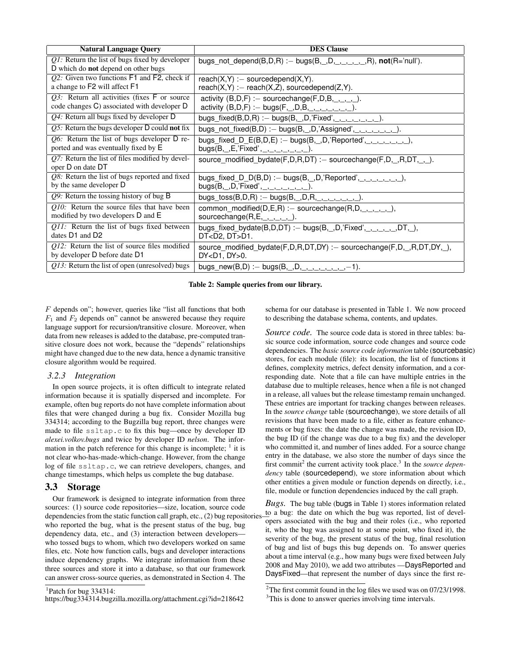| <b>Natural Language Query</b>                                                                   | <b>DES Clause</b>                                                                 |  |
|-------------------------------------------------------------------------------------------------|-----------------------------------------------------------------------------------|--|
| $QI$ : Return the list of bugs fixed by developer<br>D which do <b>not</b> depend on other bugs | bugs_not_depend(B,D,R) :- bugs(B,_,D,_,_,_,_,_,R), not(R='null').                 |  |
| $Q2$ : Given two functions $F1$ and $F2$ , check if                                             | reach $(X, Y) :=$ sourcedepend $(X, Y)$ .                                         |  |
| a change to F2 will affect F1                                                                   | reach $(X,Y) :=$ reach $(X,Z)$ , sourcedepend $(Z,Y)$ .                           |  |
| $Q3$ : Return all activities (fixes $F$ or source                                               | activity $(B,D,F)$ : – sourcechange $(F,D,B, \ldots, )$ .                         |  |
| code changes C) associated with developer D                                                     | activity $(B, D, F) := bugs(F, ., D, B, , . , . , . , . , .).$                    |  |
| $Q4$ : Return all bugs fixed by developer D                                                     | bugs_fixed(B,D,R) :- bugs(B,_,D,'Fixed',_,_,_,_,_,_,_,_).                         |  |
| <i>Q5</i> : Return the bugs developer $D$ could <b>not</b> fix                                  | bugs_not_fixed(B,D) :- bugs(B,_,D,'Assigned',_,_,_,_,_,_,_).                      |  |
| $Q6$ : Return the list of bugs developer D re-                                                  | bugs_fixed_D_E(B,D,E) :- bugs(B,_,D,'Reported',_,_,_,_,_,_,),                     |  |
| ported and was eventually fixed by E                                                            | bugs(B, _,E,'Fixed', _, _, _, _, _, _, _, _).                                     |  |
| $Q7$ : Return the list of files modified by devel-<br>oper D on date DT                         | source_modified_bydate(F,D,R,DT) :- sourcechange(F,D,_,R,DT,_,_).                 |  |
| $Q8$ : Return the list of bugs reported and fixed                                               | bugs_fixed_D_D(B,D) :- bugs(B,_,D,'Reported',_,_,_,_,_,_,_,),                     |  |
| by the same developer D                                                                         | bugs(B, _, D,'Fixed', _, _, _, _, _, _, _, _).                                    |  |
| $Q9$ : Return the tossing history of bug B                                                      | bugs_toss(B,D,R) :- bugs(B, _,D,R, _, _, _, _, _, _).                             |  |
| $Q10$ : Return the source files that have been                                                  | common_modified( $D, E, R$ ) :- sourcechange( $R, D, \underline{\_,\_,\_,\_,}$ ), |  |
| modified by two developers D and E                                                              | sourcechange $(R,E,\_,\_,\_,\_)$ .                                                |  |
| Q11: Return the list of bugs fixed between                                                      | bugs_fixed_bydate(B,D,DT) : - bugs(B, _,D,'Fixed', _, _, _, _, _,DT, _),          |  |
| dates $D1$ and $D2$                                                                             | DT <d2, dt="">D1.</d2,>                                                           |  |
| $Q12$ : Return the list of source files modified                                                | source_modified_bydate(F,D,R,DT,DY) :- sourcechange(F,D,_,R,DT,DY,_),             |  |
| by developer D before date D1                                                                   | DY <d1, dy="">0.</d1,>                                                            |  |
| $Q13$ : Return the list of open (unresolved) bugs                                               | bugs_new(B,D) :- bugs(B,_,D,_,_,_,_,_,_,_,_,-1).                                  |  |

Table 2: Sample queries from our library.

 $F$  depends on"; however, queries like "list all functions that both  $F_1$  and  $F_2$  depends on" cannot be answered because they require language support for recursion/transitive closure. Moreover, when data from new releases is added to the database, pre-computed transitive closure does not work, because the "depends" relationships might have changed due to the new data, hence a dynamic transitive closure algorithm would be required.

## *3.2.3 Integration*

In open source projects, it is often difficult to integrate related information because it is spatially dispersed and incomplete. For example, often bug reports do not have complete information about files that were changed during a bug fix. Consider Mozilla bug 334314; according to the Bugzilla bug report, three changes were made to file ssltap.c to fix this bug—once by developer ID *alexei.volkov.bugs* and twice by developer ID *nelson*. The information in the patch reference for this change is incomplete;  $<sup>1</sup>$  it is</sup> not clear who-has-made-which-change. However, from the change log of file ssltap.c, we can retrieve developers, changes, and change timestamps, which helps us complete the bug database.

#### 3.3 Storage

Our framework is designed to integrate information from three sources: (1) source code repositories—size, location, source code dependencies from the static function call graph, etc., (2) bug repositories who reported the bug, what is the present status of the bug, bug dependency data, etc., and (3) interaction between developers who tossed bugs to whom, which two developers worked on same files, etc. Note how function calls, bugs and developer interactions induce dependency graphs. We integrate information from these three sources and store it into a database, so that our framework can answer cross-source queries, as demonstrated in Section 4. The

schema for our database is presented in Table 1. We now proceed to describing the database schema, contents, and updates.

*Source code.* The source code data is stored in three tables: basic source code information, source code changes and source code dependencies. The *basic source code information* table (sourcebasic) stores, for each module (file): its location, the list of functions it defines, complexity metrics, defect density information, and a corresponding date. Note that a file can have multiple entries in the database due to multiple releases, hence when a file is not changed in a release, all values but the release timestamp remain unchanged. These entries are important for tracking changes between releases. In the *source change* table (sourcechange), we store details of all revisions that have been made to a file, either as feature enhancements or bug fixes: the date the change was made, the revision ID, the bug ID (if the change was due to a bug fix) and the developer who committed it, and number of lines added. For a source change entry in the database, we also store the number of days since the first commit<sup>2</sup> the current activity took place.<sup>3</sup> In the *source dependency* table (sourcedepend), we store information about which other entities a given module or function depends on directly, i.e., file, module or function dependencies induced by the call graph.

*Bugs.* The bug table (bugs in Table 1) stores information related to a bug: the date on which the bug was reported, list of developers associated with the bug and their roles (i.e., who reported it, who the bug was assigned to at some point, who fixed it), the severity of the bug, the present status of the bug, final resolution of bug and list of bugs this bug depends on. To answer queries about a time interval (e.g., how many bugs were fixed between July 2008 and May 2010), we add two attributes —DaysReported and DaysFixed—that represent the number of days since the first re-

<sup>&</sup>lt;sup>1</sup>Patch for bug 334314:

https://bug334314.bugzilla.mozilla.org/attachment.cgi?id=218642

<sup>&</sup>lt;sup>2</sup>The first commit found in the log files we used was on  $07/23/1998$ . <sup>3</sup>This is done to answer queries involving time intervals.